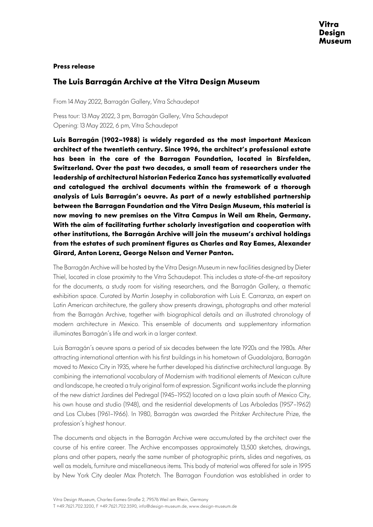## **Press release**

## **The Luis Barragán Archive at the Vitra Design Museum**

From 14 May 2022, Barragán Gallery, Vitra Schaudepot

Press tour: 13 May 2022, 3 pm, Barragán Gallery, Vitra Schaudepot Opening: 13 May 2022, 6 pm, Vitra Schaudepot

**Luis Barragán (1902–1988) is widely regarded as the most important Mexican architect of the twentieth century. Since 1996, the architect's professional estate has been in the care of the Barragan Foundation, located in Birsfelden, Switzerland. Over the past two decades, a small team of researchers under the leadership of architectural historian Federica Zanco has systematically evaluated and catalogued the archival documents within the framework of a thorough analysis of Luis Barragán's oeuvre. As part of a newly established partnership between the Barragan Foundation and the Vitra Design Museum, this material is now moving to new premises on the Vitra Campus in Weil am Rhein, Germany. With the aim of facilitating further scholarly investigation and cooperation with other institutions, the Barragán Archive will join the museum's archival holdings from the estates of such prominent figures as Charles and Ray Eames, Alexander Girard, Anton Lorenz, George Nelson and Verner Panton.** 

The Barragán Archive will be hosted by the Vitra Design Museum in new facilities designed by Dieter Thiel, located in close proximity to the Vitra Schaudepot. This includes a state-of-the-art repository for the documents, a study room for visiting researchers, and the Barragán Gallery, a thematic exhibition space. Curated by Martin Josephy in collaboration with Luis E. Carranza, an expert on Latin American architecture, the gallery show presents drawings, photographs and other material from the Barragán Archive, together with biographical details and an illustrated chronology of modern architecture in Mexico. This ensemble of documents and supplementary information illuminates Barragán's life and work in a larger context.

Luis Barragán's oeuvre spans a period of six decades between the late 1920s and the 1980s. After attracting international attention with his first buildings in his hometown of Guadalajara, Barragán moved to Mexico City in 1935, where he further developed his distinctive architectural language. By combining the international vocabulary of Modernism with traditional elements of Mexican culture and landscape, he created a truly original form of expression. Significant works include the planning of the new district Jardines del Pedregal (1945–1952) located on a lava plain south of Mexico City, his own house and studio (1948), and the residential developments of Las Arboledas (1957–1962) and Los Clubes (1961–1966). In 1980, Barragán was awarded the Pritzker Architecture Prize, the profession's highest honour.

The documents and objects in the Barragán Archive were accumulated by the architect over the course of his entire career. The Archive encompasses approximately 13,500 sketches, drawings, plans and other papers, nearly the same number of photographic prints, slides and negatives, as well as models, furniture and miscellaneous items. This body of material was offered for sale in 1995 by New York City dealer Max Protetch. The Barragan Foundation was established in order to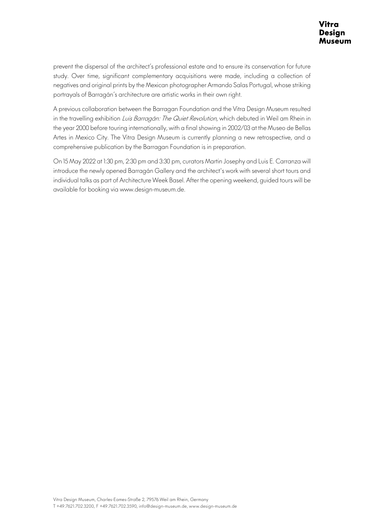prevent the dispersal of the architect's professional estate and to ensure its conservation for future study. Over time, significant complementary acquisitions were made, including a collection of negatives and original prints by the Mexican photographer Armando Salas Portugal, whose striking portrayals of Barragán's architecture are artistic works in their own right.

A previous collaboration between the Barragan Foundation and the Vitra Design Museum resulted in the travelling exhibition Luis Barragán: The Quiet Revolution, which debuted in Weil am Rhein in the year 2000 before touring internationally, with a final showing in 2002/03 at the Museo de Bellas Artes in Mexico City. The Vitra Design Museum is currently planning a new retrospective, and a comprehensive publication by the Barragan Foundation is in preparation.

On 15 May 2022 at 1:30 pm, 2:30 pm and 3:30 pm, curators Martin Josephy and Luis E. Carranza will introduce the newly opened Barragán Gallery and the architect's work with several short tours and individual talks as part of Architecture Week Basel. After the opening weekend, guided tours will be available for booking via www.design-museum.de.